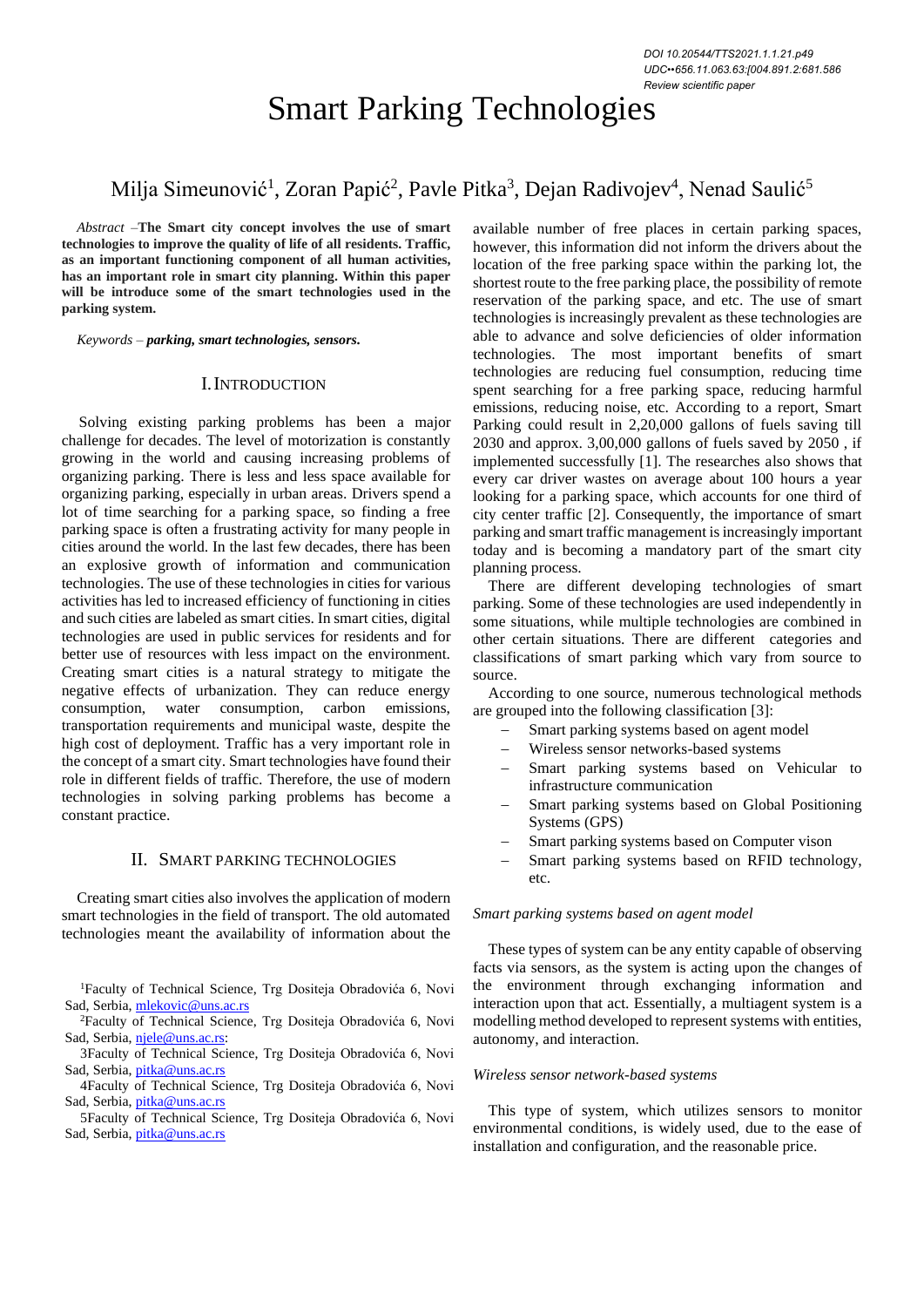# Smart Parking Technologies

## Milja Simeunović<sup>1</sup>, Zoran Papić<sup>2</sup>, Pavle Pitka<sup>3</sup>, Dejan Radivojev<sup>4</sup>, Nenad Saulić<sup>5</sup>

*Abstract –***The Smart city concept involves the use of smart technologies to improve the quality of life of all residents. Traffic, as an important functioning component of all human activities, has an important role in smart city planning. Within this paper will be introduce some of the smart technologies used in the parking system.**

*Keywords – parking, smart technologies, sensors***.**

#### I.INTRODUCTION

Solving existing parking problems has been a major challenge for decades. The level of motorization is constantly growing in the world and causing increasing problems of organizing parking. There is less and less space available for organizing parking, especially in urban areas. Drivers spend a lot of time searching for a parking space, so finding a free parking space is often a frustrating activity for many people in cities around the world. In the last few decades, there has been an explosive growth of information and communication technologies. The use of these technologies in cities for various activities has led to increased efficiency of functioning in cities and such cities are labeled as smart cities. In smart cities, digital technologies are used in public services for residents and for better use of resources with less impact on the environment. Creating smart cities is a natural strategy to mitigate the negative effects of urbanization. They can reduce energy consumption, water consumption, carbon emissions, transportation requirements and municipal waste, despite the high cost of deployment. Traffic has a very important role in the concept of a smart city. Smart technologies have found their role in different fields of traffic. Therefore, the use of modern technologies in solving parking problems has become a constant practice.

#### II. SMART PARKING TECHNOLOGIES

Creating smart cities also involves the application of modern smart technologies in the field of transport. The old automated technologies meant the availability of information about the

<sup>1</sup>Faculty of Technical Science, Trg Dositeja Obradovića 6, Novi Sad, Serbia[, mlekovic@uns.ac.rs](mailto:mlekovic@uns.ac.rs)

available number of free places in certain parking spaces, however, this information did not inform the drivers about the location of the free parking space within the parking lot, the shortest route to the free parking place, the possibility of remote reservation of the parking space, and etc. The use of smart technologies is increasingly prevalent as these technologies are able to advance and solve deficiencies of older information technologies. The most important benefits of smart technologies are reducing fuel consumption, reducing time spent searching for a free parking space, reducing harmful emissions, reducing noise, etc. According to a report, Smart Parking could result in 2,20,000 gallons of fuels saving till 2030 and approx. 3,00,000 gallons of fuels saved by 2050 , if implemented successfully [1]. The researches also shows that every car driver wastes on average about 100 hours a year looking for a parking space, which accounts for one third of city center traffic [2]. Consequently, the importance of smart parking and smart traffic management is increasingly important today and is becoming a mandatory part of the smart city planning process.

There are different developing technologies of smart parking. Some of these technologies are used independently in some situations, while multiple technologies are combined in other certain situations. There are different categories and classifications of smart parking which vary from source to source.

According to one source, numerous technological methods are grouped into the following classification [3]:

- Smart parking systems based on agent model
- − Wireless sensor networks-based systems
- Smart parking systems based on Vehicular to infrastructure communication
- Smart parking systems based on Global Positioning Systems (GPS)
- Smart parking systems based on Computer vison
- Smart parking systems based on RFID technology, etc.

#### *Smart parking systems based on agent model*

These types of system can be any entity capable of observing facts via sensors, as the system is acting upon the changes of the environment through exchanging information and interaction upon that act. Essentially, a multiagent system is a modelling method developed to represent systems with entities, autonomy, and interaction.

#### *Wireless sensor network-based systems*

This type of system, which utilizes sensors to monitor environmental conditions, is widely used, due to the ease of installation and configuration, and the reasonable price.

<sup>2</sup>Faculty of Technical Science, Trg Dositeja Obradovića 6, Novi Sad, Serbia[, njele@uns.ac.rs:](mailto:njele@uns.ac.rs)

<sup>3</sup>Faculty of Technical Science, Trg Dositeja Obradovića 6, Novi Sad, Serbia[, pitka@uns.ac.rs](mailto:pitka@uns.ac.rs)

<sup>4</sup>Faculty of Technical Science, Trg Dositeja Obradovića 6, Novi Sad, Serbia[, pitka@uns.ac.rs](mailto:pitka@uns.ac.rs)

<sup>5</sup>Faculty of Technical Science, Trg Dositeja Obradovića 6, Novi Sad, Serbia[, pitka@uns.ac.rs](mailto:pitka@uns.ac.rs)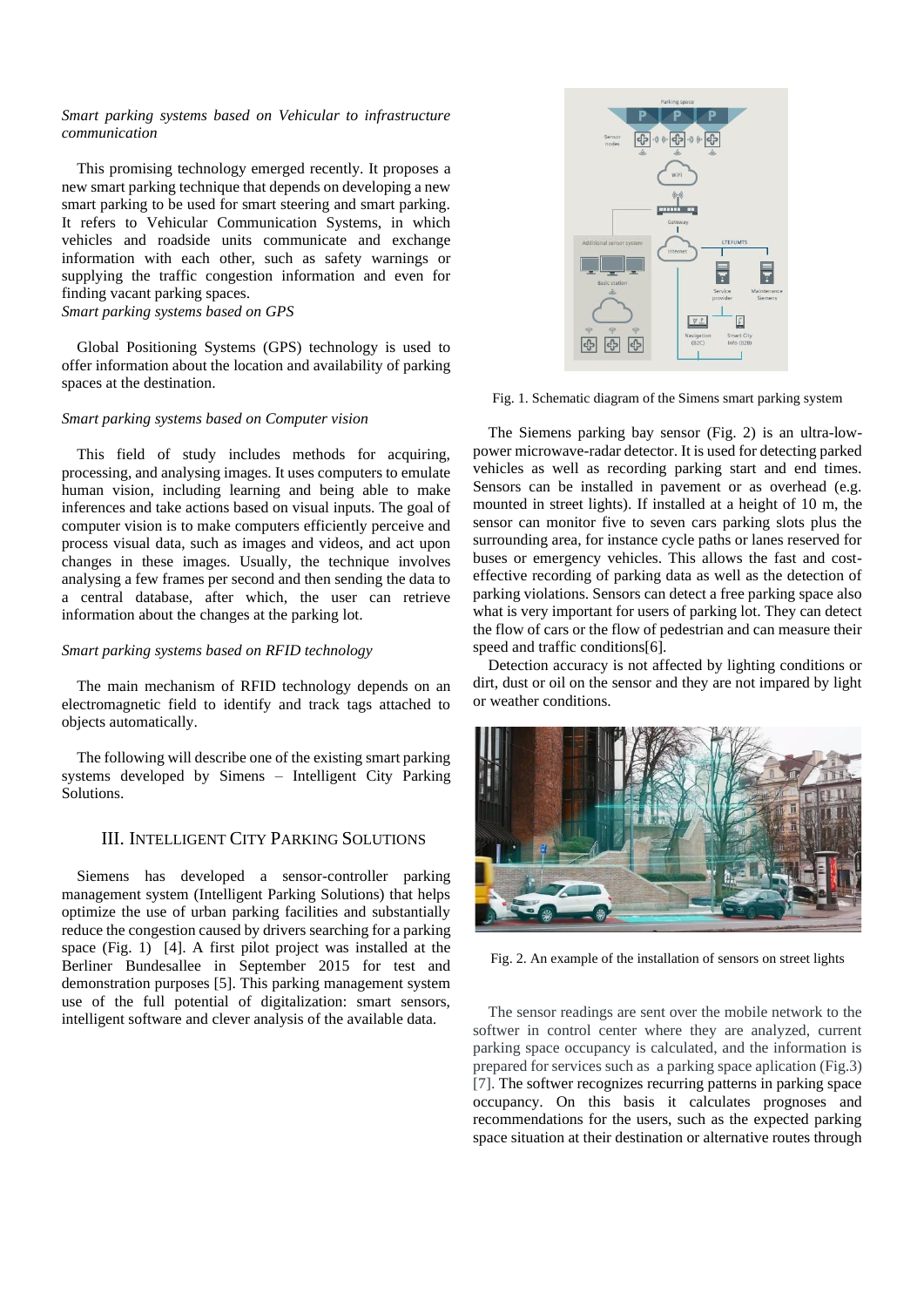#### *Smart parking systems based on Vehicular to infrastructure communication*

This promising technology emerged recently. It proposes a new smart parking technique that depends on developing a new smart parking to be used for smart steering and smart parking. It refers to Vehicular Communication Systems, in which vehicles and roadside units communicate and exchange information with each other, such as safety warnings or supplying the traffic congestion information and even for finding vacant parking spaces. *Smart parking systems based on GPS*

Global Positioning Systems (GPS) technology is used to offer information about the location and availability of parking spaces at the destination.

#### *Smart parking systems based on Computer vision*

This field of study includes methods for acquiring, processing, and analysing images. It uses computers to emulate human vision, including learning and being able to make inferences and take actions based on visual inputs. The goal of computer vision is to make computers efficiently perceive and process visual data, such as images and videos, and act upon changes in these images. Usually, the technique involves analysing a few frames per second and then sending the data to a central database, after which, the user can retrieve information about the changes at the parking lot.

#### *Smart parking systems based on RFID technology*

The main mechanism of RFID technology depends on an electromagnetic field to identify and track tags attached to objects automatically.

The following will describe one of the existing smart parking systems developed by Simens – Intelligent City Parking Solutions.

#### III. INTELLIGENT CITY PARKING SOLUTIONS

Siemens has developed a sensor-controller parking management system (Intelligent Parking Solutions) that helps optimize the use of urban parking facilities and substantially reduce the congestion caused by drivers searching for a parking space (Fig. 1) [4]. A first pilot project was installed at the Berliner Bundesallee in September 2015 for test and demonstration purposes [5]. This parking management system use of the full potential of digitalization: smart sensors, intelligent software and clever analysis of the available data.



Fig. 1. Schematic diagram of the Simens smart parking system

The Siemens parking bay sensor (Fig. 2) is an ultra-lowpower microwave-radar detector. It is used for detecting parked vehicles as well as recording parking start and end times. Sensors can be installed in pavement or as overhead (e.g. mounted in street lights). If installed at a height of 10 m, the sensor can monitor five to seven cars parking slots plus the surrounding area, for instance cycle paths or lanes reserved for buses or emergency vehicles. This allows the fast and costeffective recording of parking data as well as the detection of parking violations. Sensors can detect a free parking space also what is very important for users of parking lot. They can detect the flow of cars or the flow of pedestrian and can measure their speed and traffic conditions[6].

Detection accuracy is not affected by lighting conditions or dirt, dust or oil on the sensor and they are not impared by light or weather conditions.



Fig. 2. An example of the installation of sensors on street lights

The sensor readings are sent over the mobile network to the softwer in control center where they are analyzed, current parking space occupancy is calculated, and the information is prepared for services such as a parking space aplication (Fig.3) [7]. The softwer recognizes recurring patterns in parking space occupancy. On this basis it calculates prognoses and recommendations for the users, such as the expected parking space situation at their destination or alternative routes through